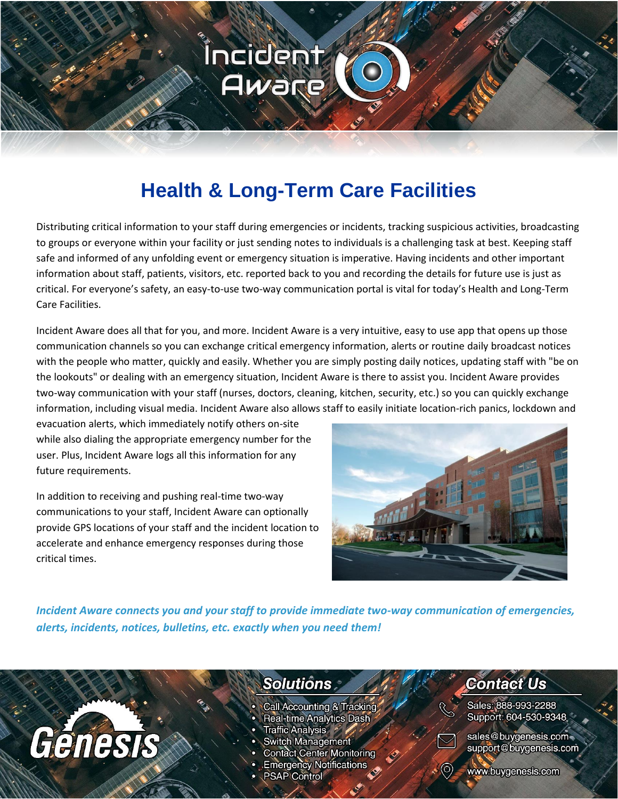

### **Health & Long-Term Care Facilities**

Distributing critical information to your staff during emergencies or incidents, tracking suspicious activities, broadcasting to groups or everyone within your facility or just sending notes to individuals is a challenging task at best. Keeping staff safe and informed of any unfolding event or emergency situation is imperative. Having incidents and other important information about staff, patients, visitors, etc. reported back to you and recording the details for future use is just as critical. For everyone's safety, an easy-to-use two-way communication portal is vital for today's Health and Long-Term Care Facilities.

Incident Aware does all that for you, and more. Incident Aware is a very intuitive, easy to use app that opens up those communication channels so you can exchange critical emergency information, alerts or routine daily broadcast notices with the people who matter, quickly and easily. Whether you are simply posting daily notices, updating staff with "be on the lookouts" or dealing with an emergency situation, Incident Aware is there to assist you. Incident Aware provides two-way communication with your staff (nurses, doctors, cleaning, kitchen, security, etc.) so you can quickly exchange information, including visual media. Incident Aware also allows staff to easily initiate location-rich panics, lockdown and

evacuation alerts, which immediately notify others on-site while also dialing the appropriate emergency number for the user. Plus, Incident Aware logs all this information for any future requirements.

In addition to receiving and pushing real-time two-way communications to your staff, Incident Aware can optionally provide GPS locations of your staff and the incident location to accelerate and enhance emergency responses during those critical times.



*Incident Aware connects you and your staff to provide immediate two-way communication of emergencies, alerts, incidents, notices, bulletins, etc. exactly when you need them!*

## Génesis

### **Solutions**

- Call Accounting & Tracking
- **Real-time Analytics Dash**
- Traffic Analysis \*
- **Switch Management**
- **Contact Center Monitoring**
- **Emergency Notifications**
- **PSAP Control**

### **Contact Us**

Sales: 888-993-2288 Support: 604-530-9348



sales@buygenesis.com support@buygenesis.com